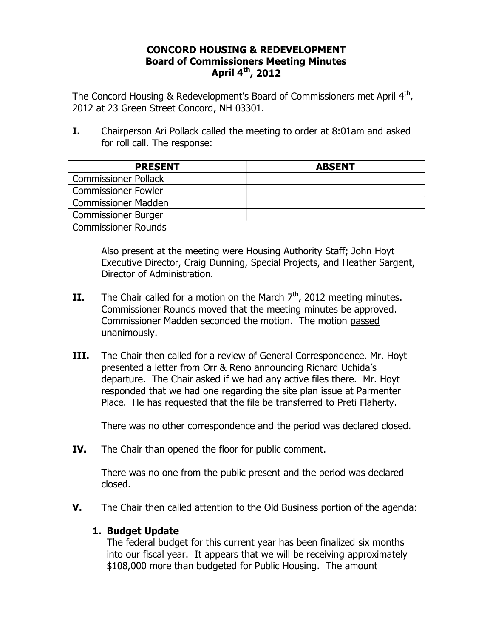## **CONCORD HOUSING & REDEVELOPMENT Board of Commissioners Meeting Minutes April 4th, 2012**

The Concord Housing & Redevelopment's Board of Commissioners met April  $4<sup>th</sup>$ , 2012 at 23 Green Street Concord, NH 03301.

**I.** Chairperson Ari Pollack called the meeting to order at 8:01am and asked for roll call. The response:

| <b>PRESENT</b>              | <b>ABSENT</b> |
|-----------------------------|---------------|
| <b>Commissioner Pollack</b> |               |
| <b>Commissioner Fowler</b>  |               |
| <b>Commissioner Madden</b>  |               |
| <b>Commissioner Burger</b>  |               |
| Commissioner Rounds         |               |

Also present at the meeting were Housing Authority Staff; John Hoyt Executive Director, Craig Dunning, Special Projects, and Heather Sargent, Director of Administration.

- **II.** The Chair called for a motion on the March  $7<sup>th</sup>$ , 2012 meeting minutes. Commissioner Rounds moved that the meeting minutes be approved. Commissioner Madden seconded the motion. The motion passed unanimously.
- **III.** The Chair then called for a review of General Correspondence. Mr. Hoyt presented a letter from Orr & Reno announcing Richard Uchida's departure. The Chair asked if we had any active files there. Mr. Hoyt responded that we had one regarding the site plan issue at Parmenter Place. He has requested that the file be transferred to Preti Flaherty.

There was no other correspondence and the period was declared closed.

**IV.** The Chair than opened the floor for public comment.

There was no one from the public present and the period was declared closed.

**V.** The Chair then called attention to the Old Business portion of the agenda:

## **1. Budget Update**

The federal budget for this current year has been finalized six months into our fiscal year. It appears that we will be receiving approximately \$108,000 more than budgeted for Public Housing. The amount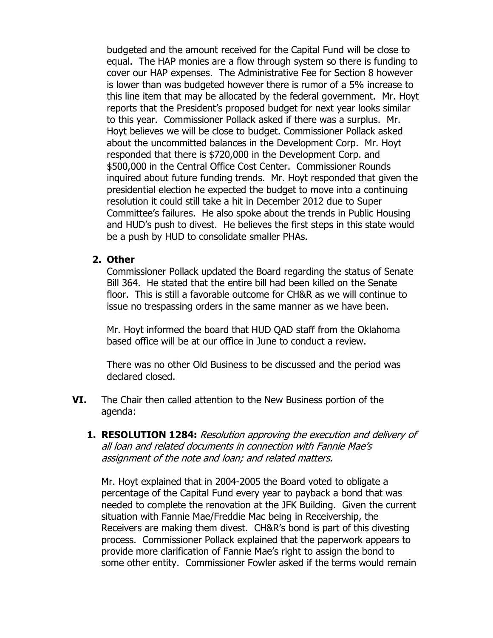budgeted and the amount received for the Capital Fund will be close to equal. The HAP monies are a flow through system so there is funding to cover our HAP expenses. The Administrative Fee for Section 8 however is lower than was budgeted however there is rumor of a 5% increase to this line item that may be allocated by the federal government. Mr. Hoyt reports that the President's proposed budget for next year looks similar to this year. Commissioner Pollack asked if there was a surplus. Mr. Hoyt believes we will be close to budget. Commissioner Pollack asked about the uncommitted balances in the Development Corp. Mr. Hoyt responded that there is \$720,000 in the Development Corp. and \$500,000 in the Central Office Cost Center. Commissioner Rounds inquired about future funding trends. Mr. Hoyt responded that given the presidential election he expected the budget to move into a continuing resolution it could still take a hit in December 2012 due to Super Committee's failures. He also spoke about the trends in Public Housing and HUD's push to divest. He believes the first steps in this state would be a push by HUD to consolidate smaller PHAs.

## **2. Other**

Commissioner Pollack updated the Board regarding the status of Senate Bill 364. He stated that the entire bill had been killed on the Senate floor. This is still a favorable outcome for CH&R as we will continue to issue no trespassing orders in the same manner as we have been.

Mr. Hoyt informed the board that HUD QAD staff from the Oklahoma based office will be at our office in June to conduct a review.

There was no other Old Business to be discussed and the period was declared closed.

- **VI.** The Chair then called attention to the New Business portion of the agenda:
	- **1. RESOLUTION 1284:** Resolution approving the execution and delivery of all loan and related documents in connection with Fannie Mae's assignment of the note and loan; and related matters.

Mr. Hoyt explained that in 2004-2005 the Board voted to obligate a percentage of the Capital Fund every year to payback a bond that was needed to complete the renovation at the JFK Building. Given the current situation with Fannie Mae/Freddie Mac being in Receivership, the Receivers are making them divest. CH&R's bond is part of this divesting process. Commissioner Pollack explained that the paperwork appears to provide more clarification of Fannie Mae's right to assign the bond to some other entity. Commissioner Fowler asked if the terms would remain